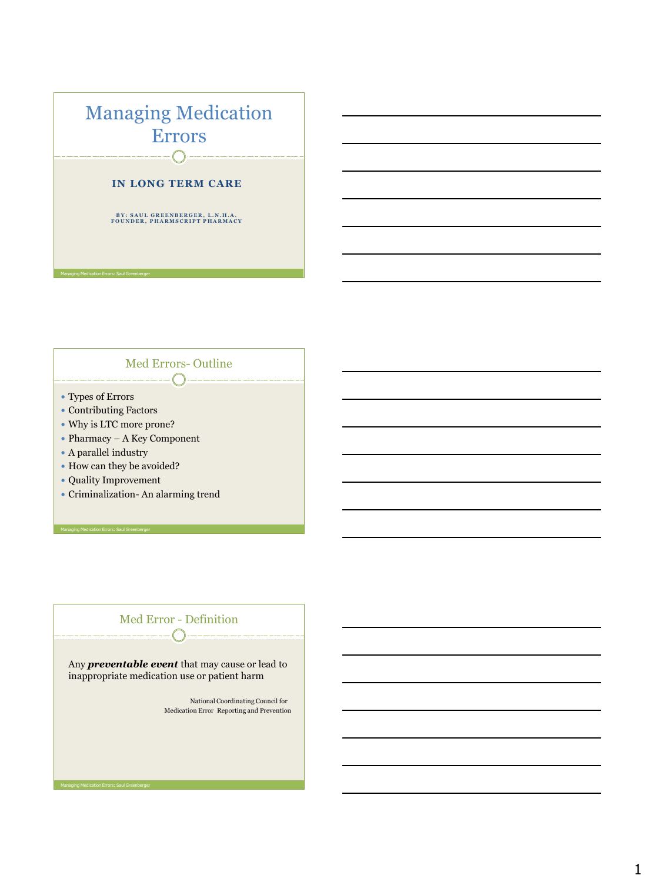

#### Med Errors- Outline  $-\bigcap$

- Types of Errors
- Contributing Factors
- Why is LTC more prone?
- Pharmacy A Key Component
- A parallel industry
- How can they be avoided?
- Quality Improvement

Managing Medication Errors: Saul Greenberger

Criminalization- An alarming trend



1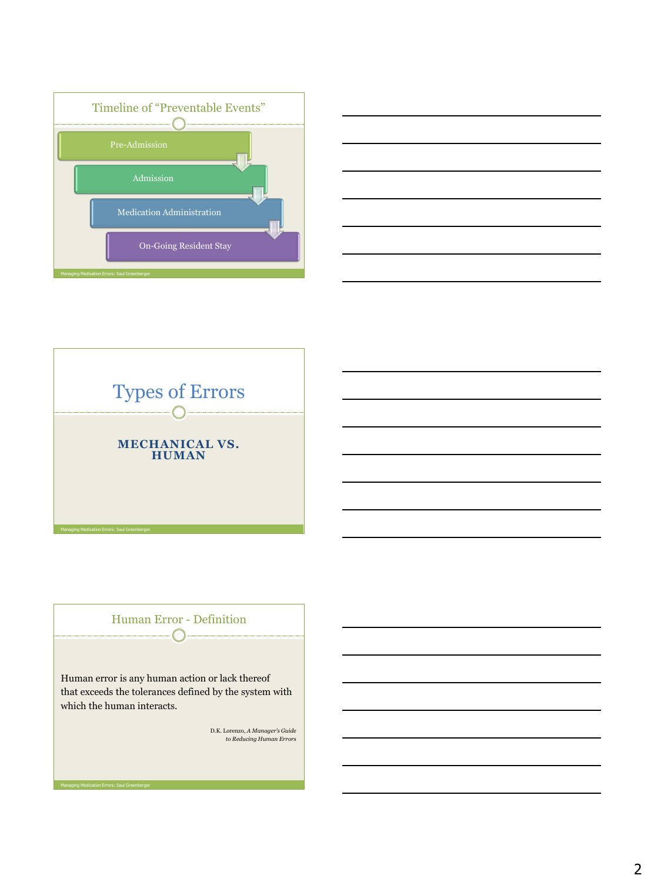





Human Error - Definition

Human error is any human action or lack thereof that exceeds the tolerances defined by the system with which the human interacts.

D.K. Lorenzo, *A Manager's Guide to Reducing Human Errors*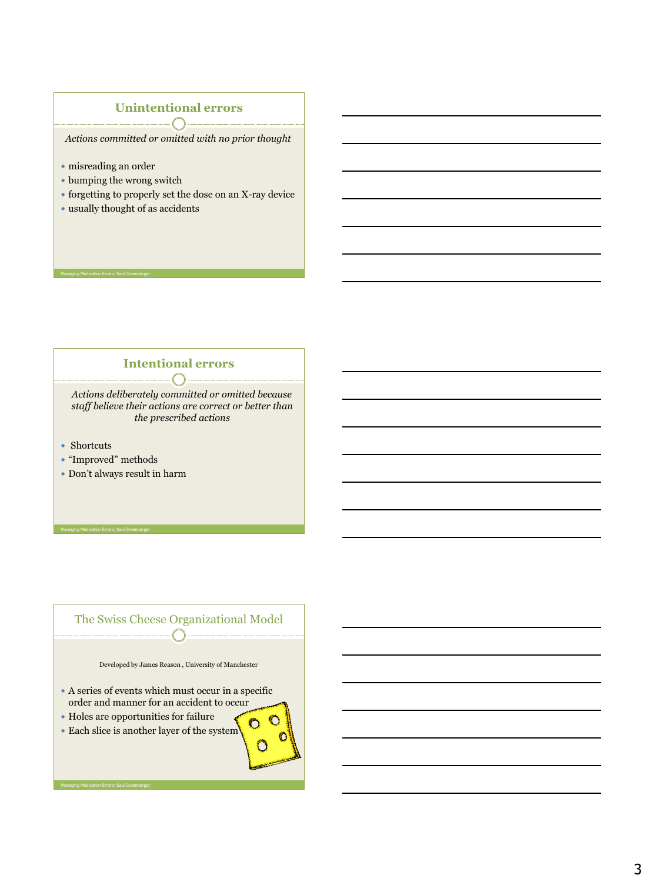#### **Unintentional errors**  $\sqrt{2}$

 *Actions committed or omitted with no prior thought* 

misreading an order

Managing Medication Errors: Saul Greenberger

- bumping the wrong switch
- forgetting to properly set the dose on an X-ray device
- usually thought of as accidents

#### **Intentional errors**

 *Actions deliberately committed or omitted because staff believe their actions are correct or better than the prescribed actions*

- Shortcuts
- "Improved" methods

Managing Medication Errors: Saul Greenberger

Don't always result in harm

#### The Swiss Cheese Organizational Model  $\bigcap$  .

Developed by James Reason , University of Manchester

 $^{\circ}$ 

 $\Omega$ 

- A series of events which must occur in a specific order and manner for an accident to occur
- Holes are opportunities for failure
- Each slice is another layer of the system

3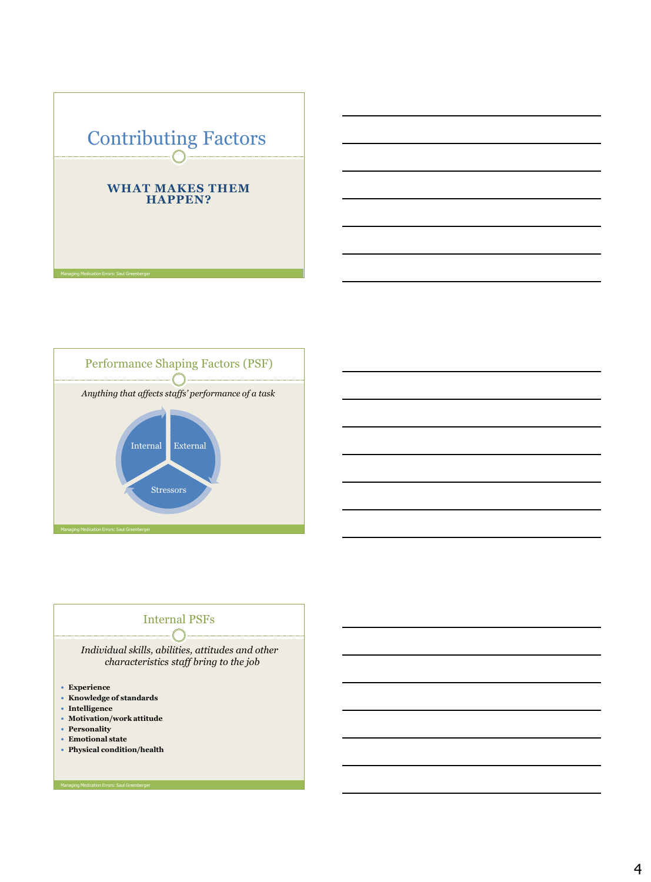



# Internal PSFs

*Individual skills, abilities, attitudes and other characteristics staff bring to the job* 

- **Experience**
- **Knowledge of standards**
- **Intelligence**
- **Motivation/work attitude**
- **Personality**
- **Emotional state**
- **Physical condition/health**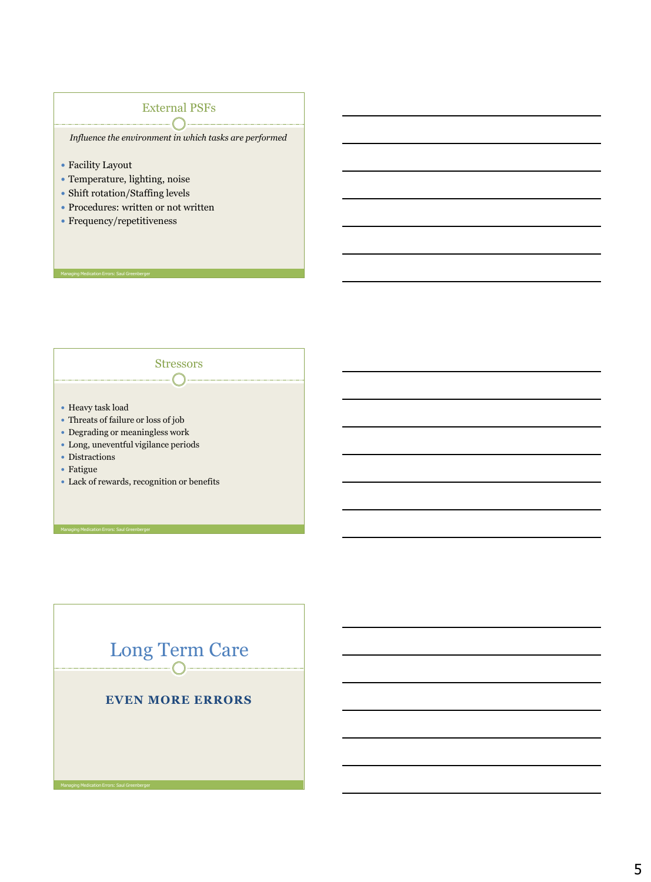#### External PSFs  $\sqrt{2}$ ╲

*Influence the environment in which tasks are performed*

**Stressors** 

 $\bigcap$ 

- Facility Layout
- Temperature, lighting, noise
- Shift rotation/Staffing levels
- Procedures: written or not written
- Frequency/repetitiveness

Managing Medication Errors: Saul Greenberger

- Heavy task load
- Threats of failure or loss of job
- Degrading or meaningless work
- Long, uneventful vigilance periods
- Distractions
- Fatigue
- Lack of rewards, recognition or benefits

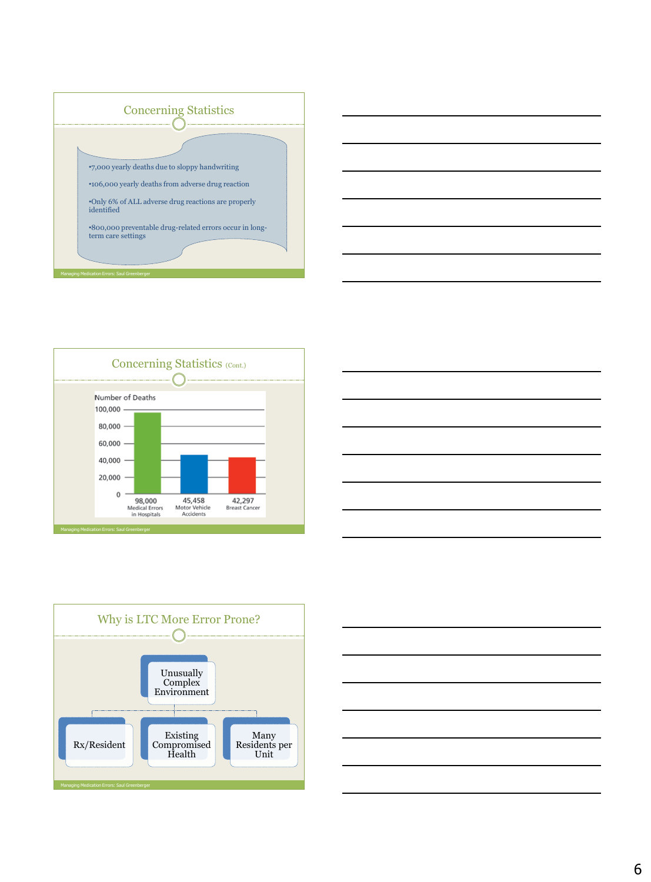









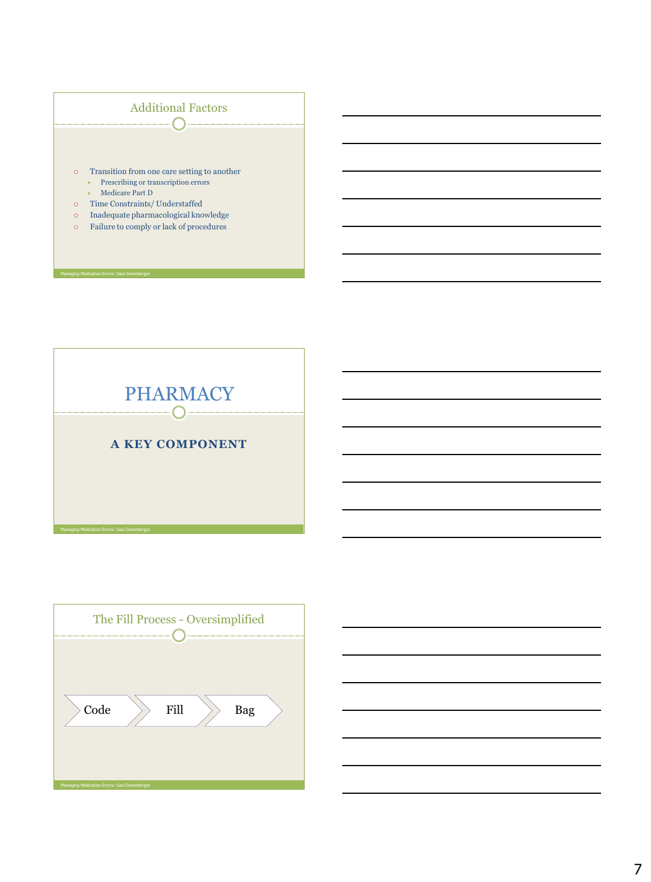



| The Fill Process - Oversimplified            |  |      |  |     |  |
|----------------------------------------------|--|------|--|-----|--|
|                                              |  |      |  |     |  |
| Code                                         |  | Fill |  | Bag |  |
|                                              |  |      |  |     |  |
| Managing Medication Errors: Saul Greenberger |  |      |  |     |  |

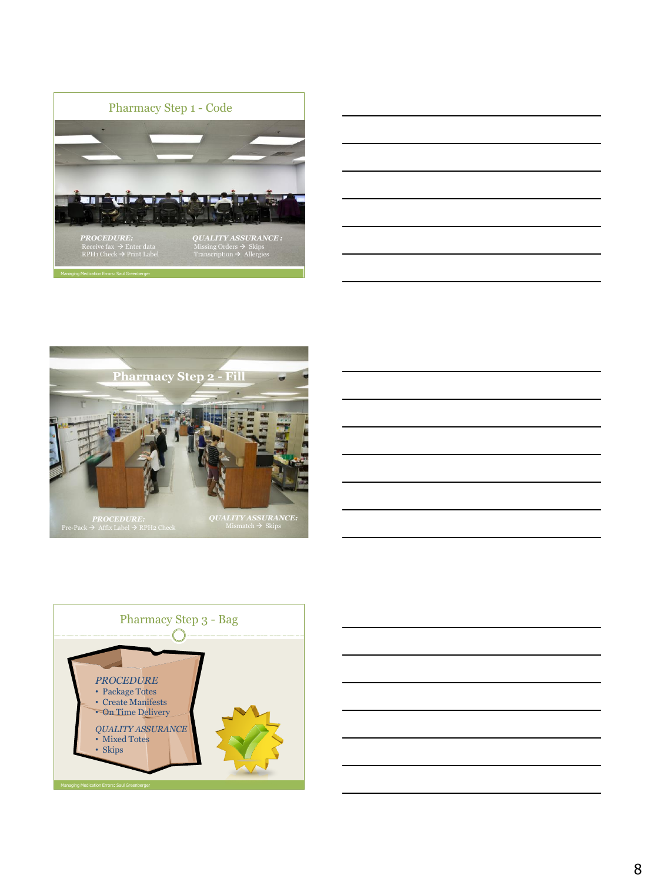







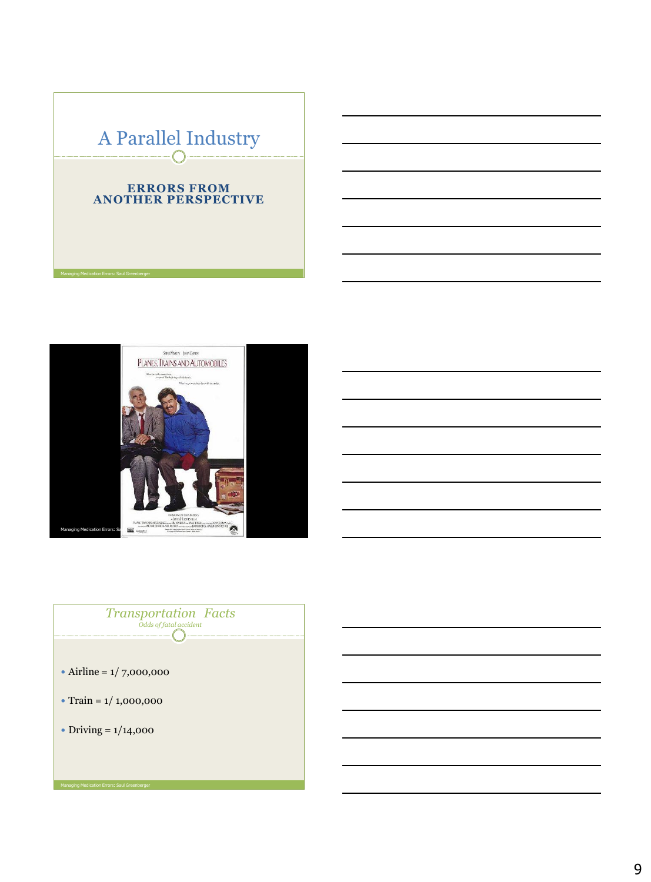# A Parallel Industry

#### **ERRORS FROM ANOTHER PERSPECTIVE**





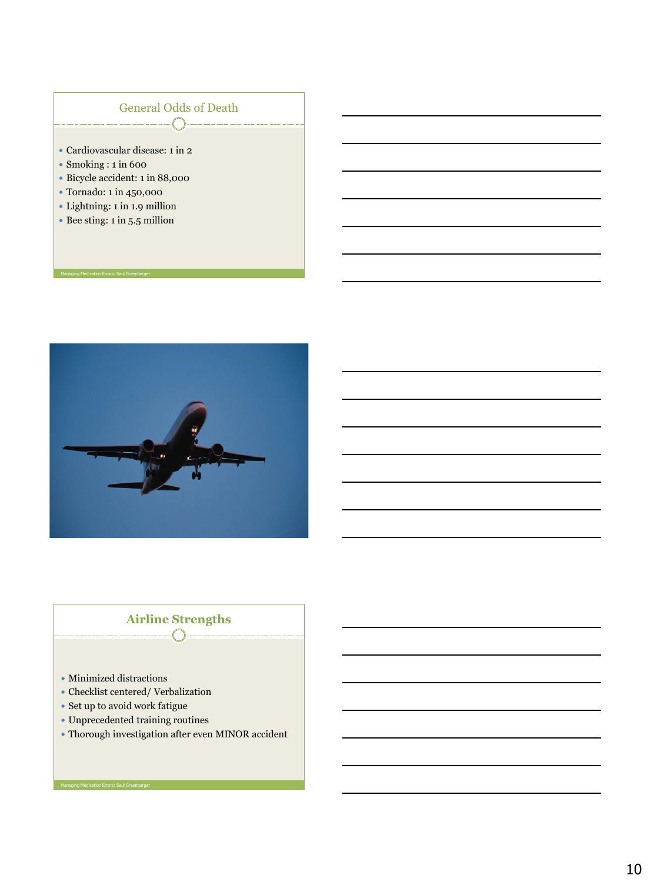### General Odds of Death  $\begin{picture}(180,10) \put(0,0){\line(1,0){10}} \put(10,0){\line(1,0){10}} \put(10,0){\line(1,0){10}} \put(10,0){\line(1,0){10}} \put(10,0){\line(1,0){10}} \put(10,0){\line(1,0){10}} \put(10,0){\line(1,0){10}} \put(10,0){\line(1,0){10}} \put(10,0){\line(1,0){10}} \put(10,0){\line(1,0){10}} \put(10,0){\line(1,0){10}} \put(10,0){\line($

- Cardiovascular disease: 1 in 2
- Smoking : 1 in 600
- Bicycle accident: 1 in 88,000
- Tornado: 1 in 450,000

Managing Medication Errors: Saul Greenberger

- Lightning: 1 in 1.9 million
- Bee sting: 1 in 5.5 million



#### **Airline Strengths**  $\bigcap$

- Minimized distractions
- Checklist centered/ Verbalization
- Set up to avoid work fatigue
- Unprecedented training routines
- Thorough investigation after even MINOR accident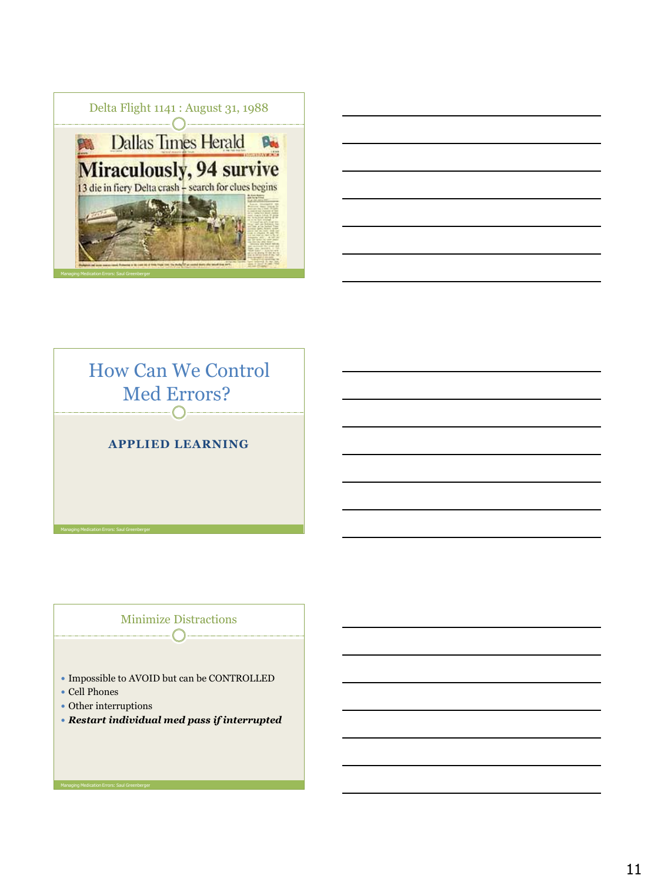





## Minimize Distractions

- Impossible to AVOID but can be CONTROLLED
- Cell Phones
- Other interruptions
- *Restart individual med pass if interrupted*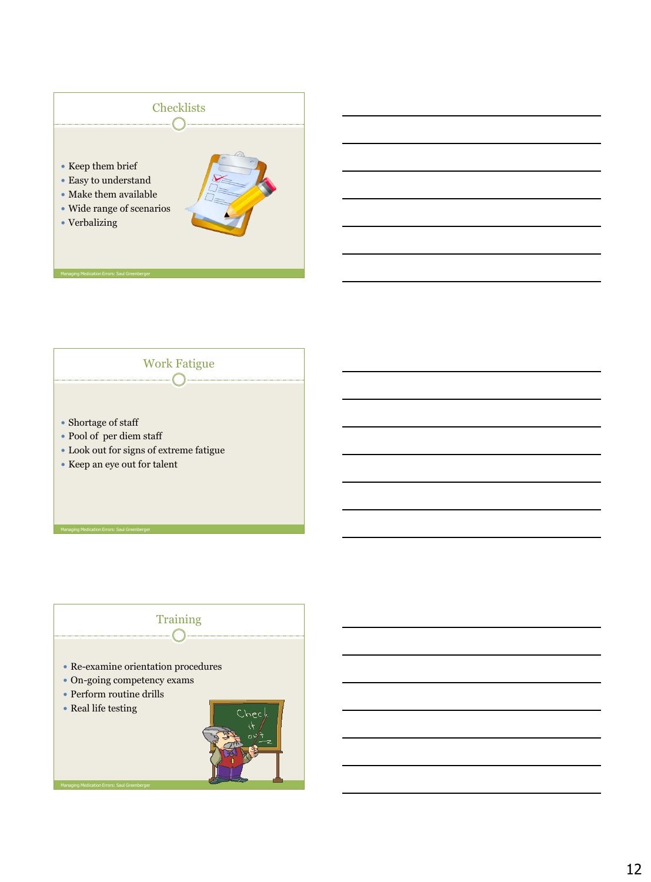



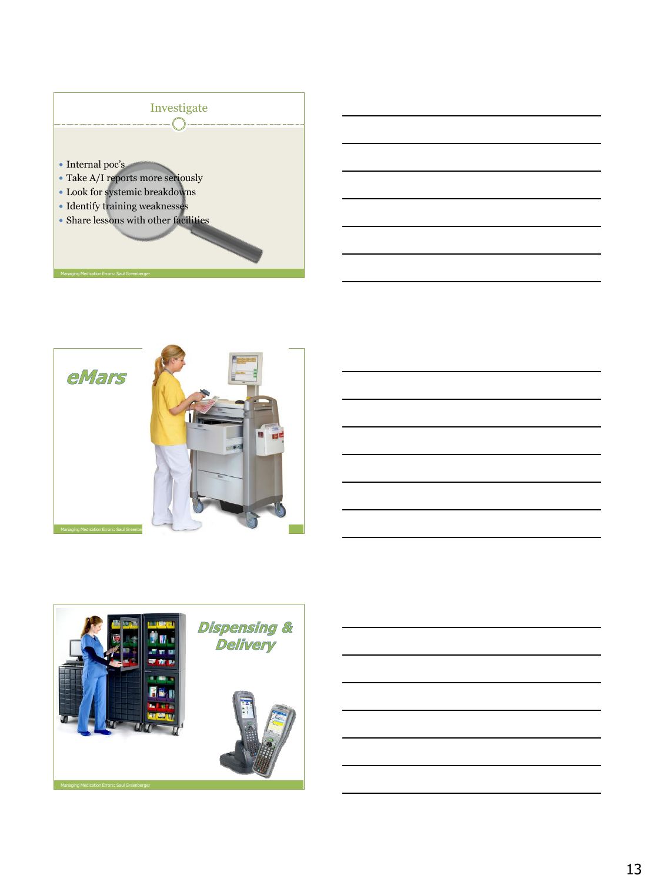



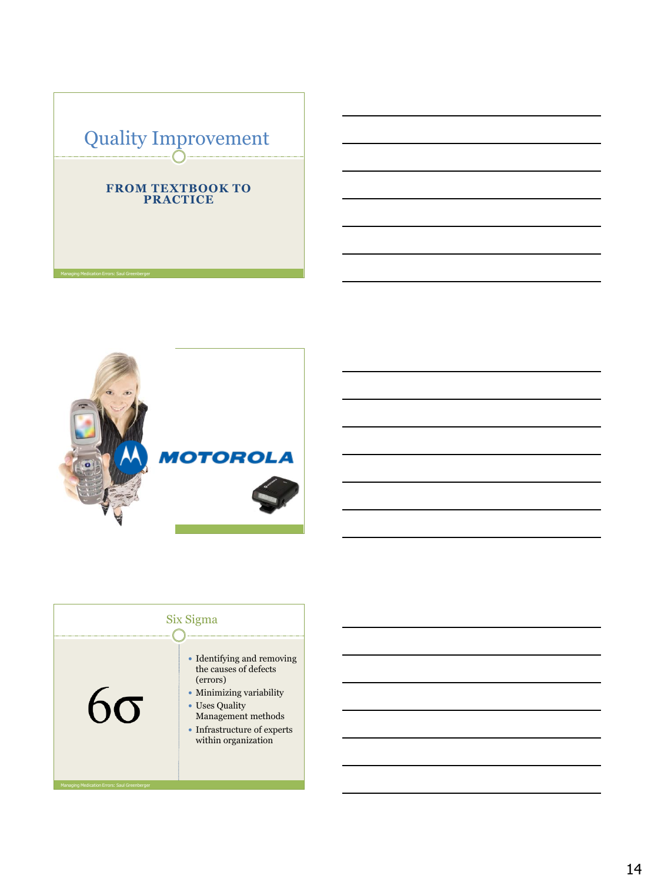



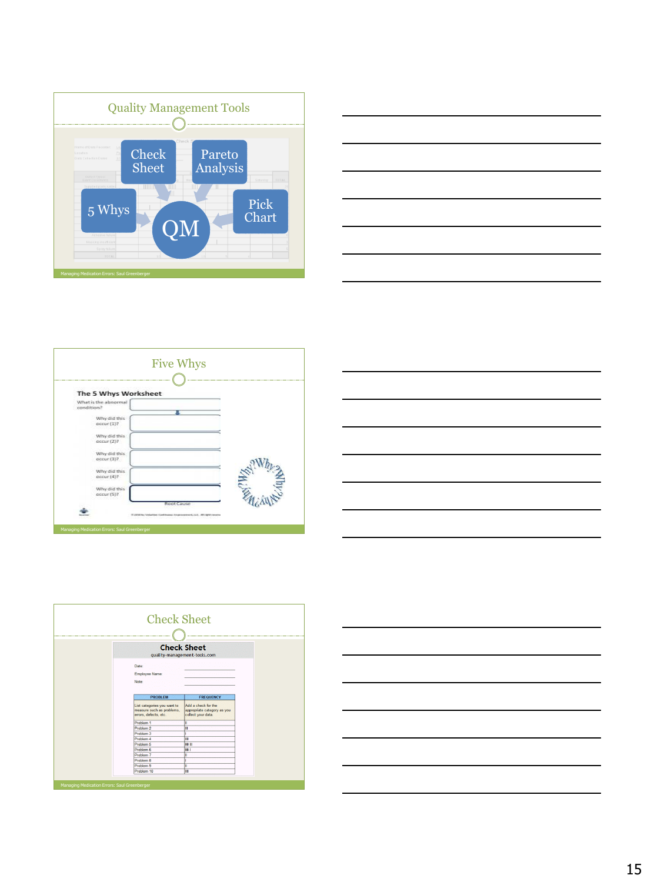









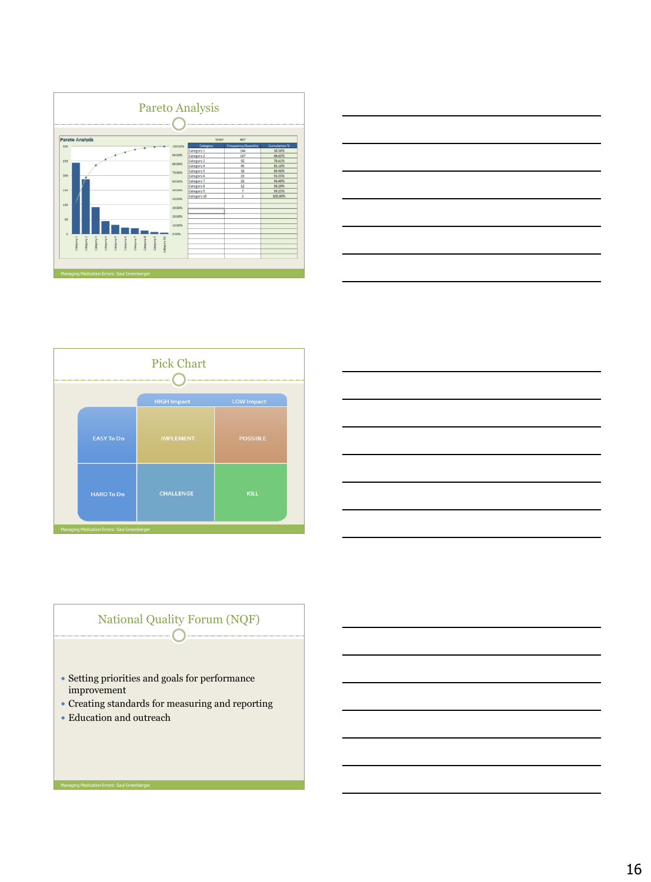



|                                              | <b>Pick Chart</b>  |                   |  |  |
|----------------------------------------------|--------------------|-------------------|--|--|
|                                              | <b>HIGH Impact</b> | <b>LOW Impact</b> |  |  |
| <b>EASY To Do</b>                            | <b>IMPLEMENT</b>   | <b>POSSIBLE</b>   |  |  |
| <b>HARD To Do</b>                            | <b>CHALLENGE</b>   | <b>KILL</b>       |  |  |
| Managing Medication Errors: Saul Greenberger |                    |                   |  |  |



#### National Quality Forum (NQF)  $\bigcap$

- Setting priorities and goals for performance improvement
- Creating standards for measuring and reporting
- Education and outreach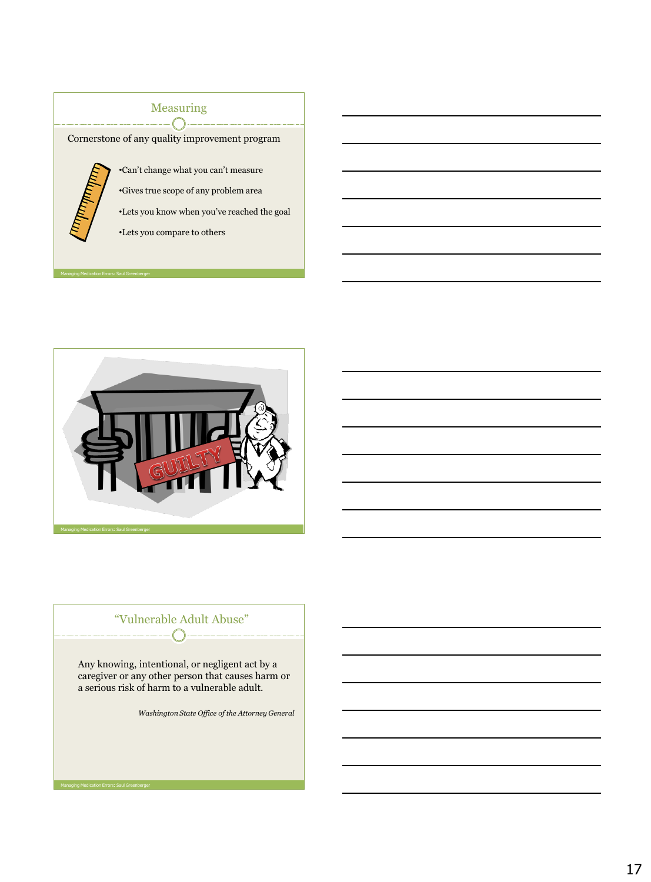# Measuring

Cornerstone of any quality improvement program



Managing Medication Errors: Saul Greenberger

•Can't change what you can't measure •Gives true scope of any problem area

•Lets you know when you've reached the goal

•Lets you compare to others



#### "Vulnerable Adult Abuse"  $-\bigcap$

Any knowing, intentional, or negligent act by a caregiver or any other person that causes harm or a serious risk of harm to a vulnerable adult.

*Washington State Office of the Attorney General*